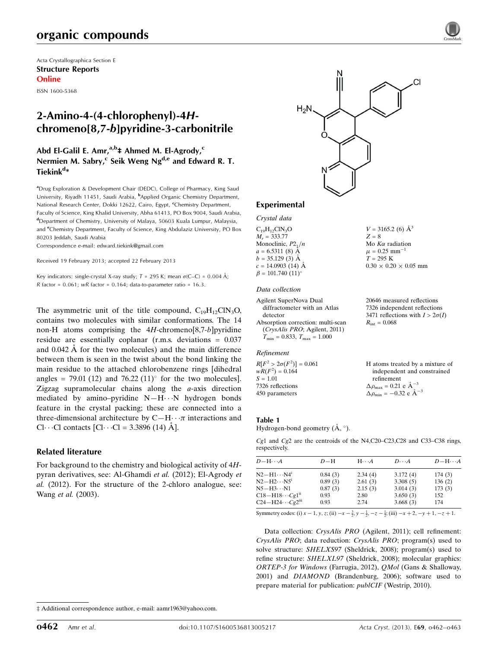# organic compounds

Acta Crystallographica Section E Structure Reports Online

ISSN 1600-5368

# 2-Amino-4-(4-chlorophenyl)-4Hchromeno[8,7-b]pyridine-3-carbonitrile

## Abd El-Galil E. Amr,<sup>a,b</sup>‡ Ahmed M. El-Agrody,<sup>c</sup> Nermien M. Sabry,<sup>c</sup> Seik Weng Ng<sup>d,e</sup> and Edward R. T. Tiekink<sup>d</sup>\*

<sup>a</sup>Drug Exploration & Development Chair (DEDC), College of Pharmacy, King Saud University, Riyadh 11451, Saudi Arabia, <sup>b</sup>Applied Organic Chemistry Department, National Research Center, Dokki 12622, Cairo, Egypt, <sup>c</sup>Chemistry Department, Faculty of Science, King Khalid University, Abha 61413, PO Box 9004, Saudi Arabia, d Department of Chemistry, University of Malaya, 50603 Kuala Lumpur, Malaysia, and <sup>e</sup>Chemistry Department, Faculty of Science, King Abdulaziz University, PO Box 80203 Jeddah, Saudi Arabia

Correspondence e-mail: [edward.tiekink@gmail.com](https://scripts.iucr.org/cgi-bin/cr.cgi?rm=pdfbb&cnor=hb7046&bbid=BB9)

Received 19 February 2013; accepted 22 February 2013

Key indicators: single-crystal X-ray study;  $T = 295$  K; mean  $\sigma$ (C–C) = 0.004 Å; R factor =  $0.061$ ; wR factor =  $0.164$ ; data-to-parameter ratio =  $16.3$ .

The asymmetric unit of the title compound,  $C_{19}H_{12}CN_3O$ , contains two molecules with similar conformations. The 14 non-H atoms comprising the  $4H$ -chromeno[8,7-b]pyridine residue are essentially coplanar (r.m.s. deviations = 0.037 and  $0.042 \text{ Å}$  for the two molecules) and the main difference between them is seen in the twist about the bond linking the main residue to the attached chlorobenzene rings [dihedral angles = 79.01 (12) and 76.22 (11) $^{\circ}$  for the two molecules]. Zigzag supramolecular chains along the a-axis direction mediated by amino–pyridine  $N-H\cdots N$  hydrogen bonds feature in the crystal packing; these are connected into a three-dimensional architecture by  $C-H \cdots \pi$  interactions and Cl···Cl contacts  $\begin{bmatrix} \text{Cl}\cdots \text{Cl} = 3.3896 \ (14) \ \text{A} \end{bmatrix}$ .

#### Related literature

For background to the chemistry and biological activity of 4Hpyran derivatives, see: Al-Ghamdi et al. (2012); El-Agrody et al. (2012). For the structure of the 2-chloro analogue, see: Wang et al. (2003).



 $V = 3165.2$  (6)  $\AA^3$ 

Mo  $K\alpha$  radiation  $\mu = 0.25$  mm<sup>-1</sup>  $T = 295~\mathrm{K}$ 

 $R_{\text{int}} = 0.068$ 

refinement  $\Delta \rho_{\text{max}} = 0.21 \text{ e } \text{\AA}_{\text{s}}^{-3}$  $\Delta \rho_{\text{min}} = -0.32 \text{ e } \text{\AA}^{-3}$ 

 $0.30 \times 0.20 \times 0.05$  mm

20646 measured reflections 7326 independent reflections 3471 reflections with  $I > 2\sigma(I)$ 

H atoms treated by a mixture of independent and constrained

 $Z = 8$ 

#### Experimental

Crystal data  $C_{19}H_{12}CIN_{3}O$ 

 $M<sub>r</sub> = 333.77$ Monoclinic,  $P2_1/n$  $a = 6.5311(8)$  Å  $b = 35.129(3)$  Å  $c = 14.0903(14)$  Å  $\beta = 101.740 \ (11)^{\circ}$ 

#### Data collection

Agilent SuperNova Dual diffractometer with an Atlas detector Absorption correction: multi-scan (CrysAlis PRO; Agilent, 2011)  $T_{\text{min}} = 0.833$ ,  $T_{\text{max}} = 1.000$ 

#### Refinement

 $R[F^2 > 2\sigma(F^2)] = 0.061$  $wR(F^2) = 0.164$  $S = 1.01$ 7326 reflections 450 parameters

#### Table 1

Hydrogen-bond geometry  $(\AA, \degree)$ .

 $Cg1$  and  $Cg2$  are the centroids of the N4,C20–C23,C28 and C33–C38 rings, respectively.

| $D - H \cdots A$                   | $D - H$ | $H \cdot \cdot \cdot A$ | $D\cdots A$ | $D - H \cdots A$ |
|------------------------------------|---------|-------------------------|-------------|------------------|
| $N2 - H1 \cdots N4$                | 0.84(3) | 2.34(4)                 | 3.172(4)    | 174(3)           |
| $N2-H2\cdots N5^i$                 | 0.89(3) | 2.61(3)                 | 3.308(5)    | 136(2)           |
| $N5 - H3 \cdots N1$                | 0.87(3) | 2.15(3)                 | 3.014(3)    | 173(3)           |
| $C18 - H18 \cdots Cg1^{n}$         | 0.93    | 2.80                    | 3.650(3)    | 152              |
| $C24-H24\cdots Cg2$ <sup>iii</sup> | 0.93    | 2.74                    | 3.668(3)    | 174              |

Symmetry codes: (i)  $x - 1$ ,  $y$ ,  $z$ ; (ii)  $-x - \frac{3}{2}$ ,  $y - \frac{1}{2}$ ,  $-z - \frac{1}{2}$ ; (iii)  $-x + 2$ ,  $-y + 1$ ,  $-z + 1$ .

Data collection: CrysAlis PRO (Agilent, 2011); cell refinement: CrysAlis PRO; data reduction: CrysAlis PRO; program(s) used to solve structure: SHELXS97 (Sheldrick, 2008); program(s) used to refine structure: SHELXL97 (Sheldrick, 2008); molecular graphics: ORTEP-3 for Windows (Farrugia, 2012), QMol (Gans & Shalloway, 2001) and DIAMOND (Brandenburg, 2006); software used to prepare material for publication: publCIF (Westrip, 2010).

<sup>‡</sup> Additional correspondence author, e-mail: aamr1963@yahoo.com.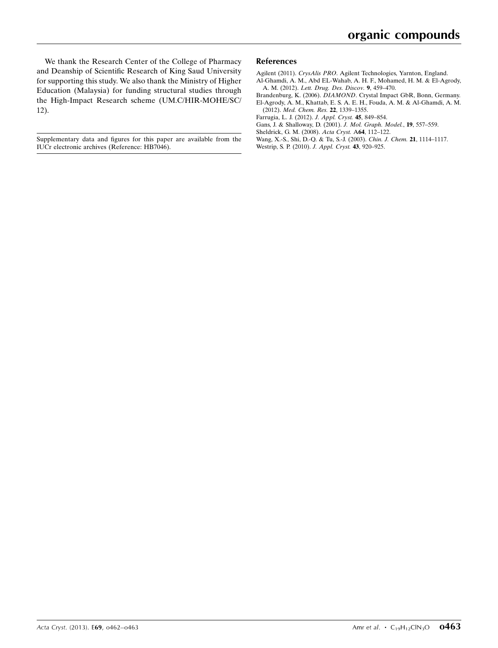We thank the Research Center of the College of Pharmacy and Deanship of Scientific Research of King Saud University for supporting this study. We also thank the Ministry of Higher Education (Malaysia) for funding structural studies through the High-Impact Research scheme (UM.C/HIR-MOHE/SC/ 12).

Supplementary data and figures for this paper are available from the IUCr electronic archives (Reference: HB7046).

#### References

Agilent (2011). CrysAlis PRO[. Agilent Technologies, Yarnton, England.](https://scripts.iucr.org/cgi-bin/cr.cgi?rm=pdfbb&cnor=hb7046&bbid=BB1)

- [Al-Ghamdi, A. M., Abd EL-Wahab, A. H. F., Mohamed, H. M. & El-Agrody,](https://scripts.iucr.org/cgi-bin/cr.cgi?rm=pdfbb&cnor=hb7046&bbid=BB2) A. M. (2012). [Lett. Drug. Des. Discov.](https://scripts.iucr.org/cgi-bin/cr.cgi?rm=pdfbb&cnor=hb7046&bbid=BB2) 9, 459–470.
- Brandenburg, K. (2006). DIAMOND[. Crystal Impact GbR, Bonn, Germany.](https://scripts.iucr.org/cgi-bin/cr.cgi?rm=pdfbb&cnor=hb7046&bbid=BB3) [El-Agrody, A. M., Khattab, E. S. A. E. H., Fouda, A. M. & Al-Ghamdi, A. M.](https://scripts.iucr.org/cgi-bin/cr.cgi?rm=pdfbb&cnor=hb7046&bbid=BB4)
- (2012). [Med. Chem. Res.](https://scripts.iucr.org/cgi-bin/cr.cgi?rm=pdfbb&cnor=hb7046&bbid=BB4) 22, 1339–1355.
- [Farrugia, L. J. \(2012\).](https://scripts.iucr.org/cgi-bin/cr.cgi?rm=pdfbb&cnor=hb7046&bbid=BB5) J. Appl. Cryst. 45, 849–854.
- [Gans, J. & Shalloway, D. \(2001\).](https://scripts.iucr.org/cgi-bin/cr.cgi?rm=pdfbb&cnor=hb7046&bbid=BB6) J. Mol. Graph. Model., 19, 557–559.
- [Sheldrick, G. M. \(2008\).](https://scripts.iucr.org/cgi-bin/cr.cgi?rm=pdfbb&cnor=hb7046&bbid=BB7) Acta Cryst. A64, 112–122.
- [Wang, X.-S., Shi, D.-Q. & Tu, S.-J. \(2003\).](https://scripts.iucr.org/cgi-bin/cr.cgi?rm=pdfbb&cnor=hb7046&bbid=BB8) Chin. J. Chem. 21, 1114–1117.
- [Westrip, S. P. \(2010\).](https://scripts.iucr.org/cgi-bin/cr.cgi?rm=pdfbb&cnor=hb7046&bbid=BB9) J. Appl. Cryst. 43, 920–925.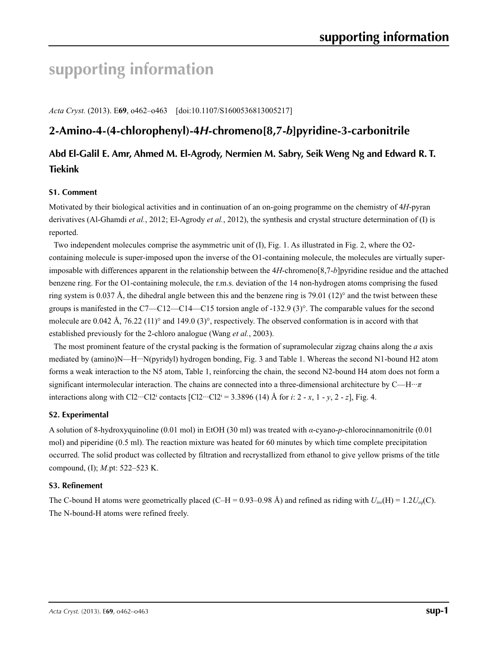# **supporting information**

*Acta Cryst.* (2013). E**69**, o462–o463 [doi:10.1107/S1600536813005217]

# **2-Amino-4-(4-chlorophenyl)-4***H***-chromeno[8,7-***b***]pyridine-3-carbonitrile**

# **Abd El-Galil E. Amr, Ahmed M. El-Agrody, Nermien M. Sabry, Seik Weng Ng and Edward R. T. Tiekink**

## **S1. Comment**

Motivated by their biological activities and in continuation of an on-going programme on the chemistry of 4*H*-pyran derivatives (Al-Ghamdi *et al.*, 2012; El-Agrody *et al.*, 2012), the synthesis and crystal structure determination of (I) is reported.

Two independent molecules comprise the asymmetric unit of (I), Fig. 1. As illustrated in Fig. 2, where the O2 containing molecule is super-imposed upon the inverse of the O1-containing molecule, the molecules are virtually superimposable with differences apparent in the relationship between the 4*H*-chromeno[8,7-*b*]pyridine residue and the attached benzene ring. For the O1-containing molecule, the r.m.s. deviation of the 14 non-hydrogen atoms comprising the fused ring system is  $0.037 \text{ Å}$ , the dihedral angle between this and the benzene ring is 79.01 (12)° and the twist between these groups is manifested in the C7—C12—C14—C15 torsion angle of -132.9 (3)°. The comparable values for the second molecule are 0.042 Å, 76.22 (11)° and 149.0 (3)°, respectively. The observed conformation is in accord with that established previously for the 2-chloro analogue (Wang *et al.*, 2003).

The most prominent feature of the crystal packing is the formation of supramolecular zigzag chains along the *a* axis mediated by (amino)N—H···N(pyridyl) hydrogen bonding, Fig. 3 and Table 1. Whereas the second N1-bound H2 atom forms a weak interaction to the N5 atom, Table 1, reinforcing the chain, the second N2-bound H4 atom does not form a significant intermolecular interaction. The chains are connected into a three-dimensional architecture by C—H···*π* interactions along with Cl2···Cl2<sup>i</sup> contacts  $[C12$ ···Cl2<sup>i</sup> = 3.3896 (14) Å for *i*: 2 - *x*, 1 - *y*, 2 - *z*], Fig. 4.

#### **S2. Experimental**

A solution of 8-hydroxyquinoline (0.01 mol) in EtOH (30 ml) was treated with *α*-cyano-*p*-chlorocinnamonitrile (0.01 mol) and piperidine (0.5 ml). The reaction mixture was heated for 60 minutes by which time complete precipitation occurred. The solid product was collected by filtration and recrystallized from ethanol to give yellow prisms of the title compound, (I); *M*.pt: 522–523 K.

#### **S3. Refinement**

The C-bound H atoms were geometrically placed (C–H = 0.93–0.98 Å) and refined as riding with  $U_{iso}(H) = 1.2U_{eq}(C)$ . The N-bound-H atoms were refined freely.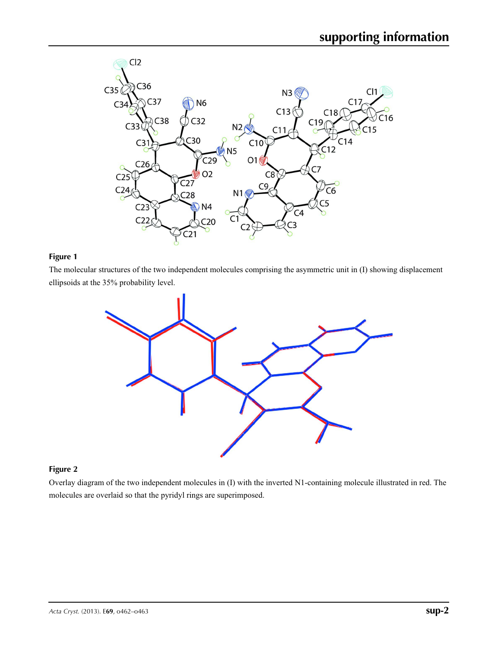

## **Figure 1**

The molecular structures of the two independent molecules comprising the asymmetric unit in (I) showing displacement ellipsoids at the 35% probability level.



## **Figure 2**

Overlay diagram of the two independent molecules in (I) with the inverted N1-containing molecule illustrated in red. The molecules are overlaid so that the pyridyl rings are superimposed.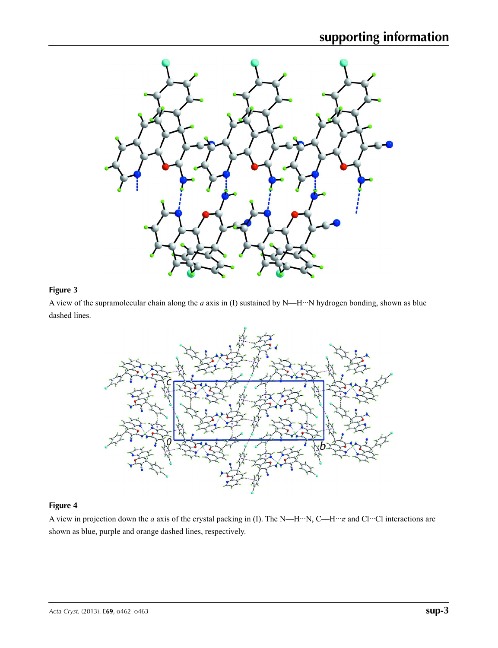

# **Figure 3**

A view of the supramolecular chain along the *a* axis in (I) sustained by N—H···N hydrogen bonding, shown as blue dashed lines.



# **Figure 4**

A view in projection down the *a* axis of the crystal packing in (I). The N—H···N, C—H···*π* and Cl···Cl interactions are shown as blue, purple and orange dashed lines, respectively.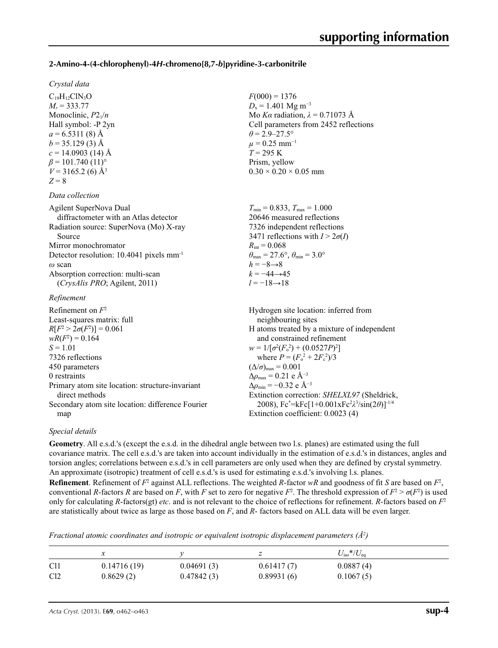## **2-Amino-4-(4-chlorophenyl)-4***H***-chromeno[8,7-***b***]pyridine-3-carbonitrile**

#### *Crystal data*

 $C_{19}H_{12}CIN_3O$  $M_r = 333.77$ Monoclinic, *P*21/*n* Hall symbol: -P 2yn  $a = 6.5311(8)$  Å  $b = 35.129(3)$  Å  $c = 14.0903$  (14) Å  $\beta$  = 101.740 (11)<sup>o</sup>  $V = 3165.2$  (6) Å<sup>3</sup>  $Z = 8$ 

#### *Data collection*

| Agilent SuperNova Dual                               | $T_{\text{min}} = 0.833$ , $T_{\text{max}} = 1.000$                     |
|------------------------------------------------------|-------------------------------------------------------------------------|
| diffractometer with an Atlas detector                | 20646 measured reflections                                              |
| Radiation source: SuperNova (Mo) X-ray               | 7326 independent reflections                                            |
| Source                                               | 3471 reflections with $I > 2\sigma(I)$                                  |
| Mirror monochromator                                 | $R_{\rm int} = 0.068$                                                   |
| Detector resolution: 10.4041 pixels mm <sup>-1</sup> | $\theta_{\text{max}} = 27.6^{\circ}, \theta_{\text{min}} = 3.0^{\circ}$ |
| $\omega$ scan                                        | $h = -8 \rightarrow 8$                                                  |
| Absorption correction: multi-scan                    | $k = -44 \rightarrow 45$                                                |
| $(CrvsAlis PRO;$ Agilent, 2011)                      | $l = -18 \rightarrow 18$                                                |
| Refinement                                           |                                                                         |
| Refinement on $F^2$                                  | Hydrogen site location: inferred from                                   |
| Least-squares matrix: full                           | neighbouring sites                                                      |
| $R[F^2 > 2\sigma(F^2)] = 0.061$                      | H atoms treated by a mixture of independent                             |
| $wR(F^2) = 0.164$                                    | and constrained refinement                                              |
| $S = 1.01$                                           | $w = 1/[\sigma^2(F_0^2) + (0.0527P)^2]$                                 |
| 7326 reflections                                     | where $P = (F_0^2 + 2F_c^2)/3$                                          |

 $F(000) = 1376$  $D_x = 1.401$  Mg m<sup>-3</sup>

 $\theta$  = 2.9–27.5°  $\mu$  = 0.25 mm<sup>-1</sup>  $T = 295$  K Prism, yellow

 $0.30 \times 0.20 \times 0.05$  mm

Mo *Kα* radiation, *λ* = 0.71073 Å Cell parameters from 2452 reflections

| where $P = (F_0^2 + 2F_c^2)/3$                                 |
|----------------------------------------------------------------|
| $(\Delta/\sigma)_{\text{max}} = 0.001$                         |
| $\Delta \rho_{\text{max}} = 0.21 \text{ e } \text{\AA}^{-3}$   |
| $\Delta\rho_{\rm min} = -0.32$ e Å <sup>-3</sup>               |
| Extinction correction: SHELXL97 (Sheldrick,                    |
| 2008), $Fc^* = kFc[1+0.001xFc^2\lambda^3/sin(2\theta)]^{-1/4}$ |
| Extinction coefficient: 0.0023 (4)                             |
|                                                                |

# *Special details*

**Geometry**. All e.s.d.'s (except the e.s.d. in the dihedral angle between two l.s. planes) are estimated using the full covariance matrix. The cell e.s.d.'s are taken into account individually in the estimation of e.s.d.'s in distances, angles and torsion angles; correlations between e.s.d.'s in cell parameters are only used when they are defined by crystal symmetry. An approximate (isotropic) treatment of cell e.s.d.'s is used for estimating e.s.d.'s involving l.s. planes.

**Refinement**. Refinement of  $F^2$  against ALL reflections. The weighted *R*-factor  $wR$  and goodness of fit *S* are based on  $F^2$ , conventional *R*-factors *R* are based on *F*, with *F* set to zero for negative  $F^2$ . The threshold expression of  $F^2 > \sigma(F^2)$  is used only for calculating *R*-factors(gt) *etc*. and is not relevant to the choice of reflections for refinement. *R*-factors based on *F*<sup>2</sup> are statistically about twice as large as those based on *F*, and *R*- factors based on ALL data will be even larger.

*Fractional atomic coordinates and isotropic or equivalent isotropic displacement parameters (Å<sup>2</sup>)* 

|                 | ⋏           |            | ∼          | $U_{\rm iso}*/U_{\rm eq}$ |  |
|-----------------|-------------|------------|------------|---------------------------|--|
| C <sub>11</sub> | 0.14716(19) | 0.04691(3) | 0.61417(7) | 0.0887(4)                 |  |
| Cl <sub>2</sub> | 0.8629(2)   | 0.47842(3) | 0.89931(6) | 0.1067(5)                 |  |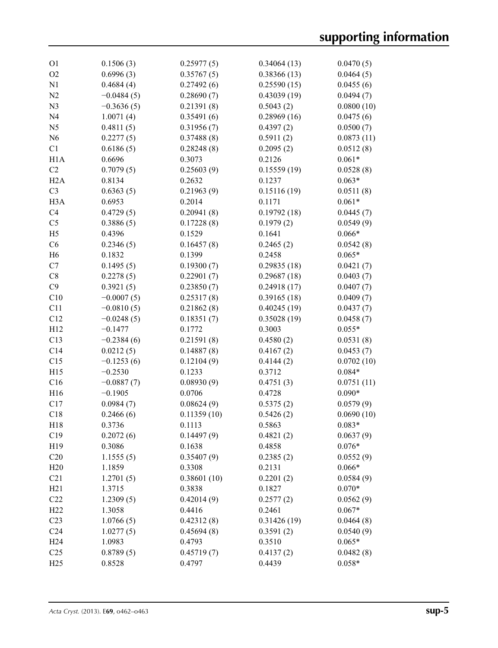| O <sub>1</sub>   | 0.1506(3)    | 0.25977(5)  | 0.34064(13) | 0.0470(5)  |
|------------------|--------------|-------------|-------------|------------|
| O <sub>2</sub>   | 0.6996(3)    | 0.35767(5)  | 0.38366(13) | 0.0464(5)  |
| N1               | 0.4684(4)    | 0.27492(6)  | 0.25590(15) | 0.0455(6)  |
| N2               | $-0.0484(5)$ | 0.28690(7)  | 0.43039(19) | 0.0494(7)  |
| N <sub>3</sub>   | $-0.3636(5)$ | 0.21391(8)  | 0.5043(2)   | 0.0800(10) |
| N <sub>4</sub>   | 1.0071(4)    | 0.35491(6)  | 0.28969(16) | 0.0475(6)  |
| N <sub>5</sub>   | 0.4811(5)    | 0.31956(7)  | 0.4397(2)   | 0.0500(7)  |
| N <sub>6</sub>   | 0.2277(5)    | 0.37488(8)  | 0.5911(2)   | 0.0873(11) |
| C1               | 0.6186(5)    | 0.28248(8)  | 0.2095(2)   | 0.0512(8)  |
| H1A              | 0.6696       | 0.3073      | 0.2126      | $0.061*$   |
| C <sub>2</sub>   | 0.7079(5)    | 0.25603(9)  | 0.15559(19) | 0.0528(8)  |
| H2A              | 0.8134       | 0.2632      | 0.1237      | $0.063*$   |
| C <sub>3</sub>   | 0.6363(5)    | 0.21963(9)  | 0.15116(19) | 0.0511(8)  |
| H <sub>3</sub> A | 0.6953       | 0.2014      | 0.1171      | $0.061*$   |
| C <sub>4</sub>   | 0.4729(5)    | 0.20941(8)  | 0.19792(18) | 0.0445(7)  |
| C <sub>5</sub>   | 0.3886(5)    | 0.17228(8)  | 0.1979(2)   | 0.0549(9)  |
| H <sub>5</sub>   | 0.4396       | 0.1529      | 0.1641      | $0.066*$   |
| C6               | 0.2346(5)    | 0.16457(8)  | 0.2465(2)   | 0.0542(8)  |
| H <sub>6</sub>   | 0.1832       | 0.1399      | 0.2458      | $0.065*$   |
| C7               | 0.1495(5)    | 0.19300(7)  | 0.29835(18) | 0.0421(7)  |
| C8               | 0.2278(5)    | 0.22901(7)  | 0.29687(18) | 0.0403(7)  |
| C9               | 0.3921(5)    | 0.23850(7)  | 0.24918(17) | 0.0407(7)  |
| C10              | $-0.0007(5)$ | 0.25317(8)  | 0.39165(18) | 0.0409(7)  |
| C11              | $-0.0810(5)$ | 0.21862(8)  | 0.40245(19) | 0.0437(7)  |
| C12              | $-0.0248(5)$ | 0.18351(7)  | 0.35028(19) | 0.0458(7)  |
| H12              | $-0.1477$    | 0.1772      | 0.3003      | $0.055*$   |
| C13              | $-0.2384(6)$ | 0.21591(8)  | 0.4580(2)   | 0.0531(8)  |
| C14              | 0.0212(5)    | 0.14887(8)  | 0.4167(2)   | 0.0453(7)  |
| C15              | $-0.1253(6)$ | 0.12104(9)  | 0.4144(2)   | 0.0702(10) |
| H15              | $-0.2530$    | 0.1233      | 0.3712      | $0.084*$   |
| C16              | $-0.0887(7)$ | 0.08930(9)  | 0.4751(3)   | 0.0751(11) |
| H <sub>16</sub>  | $-0.1905$    | 0.0706      | 0.4728      | $0.090*$   |
| C17              | 0.0984(7)    | 0.08624(9)  | 0.5375(2)   | 0.0579(9)  |
| C18              | 0.2466(6)    | 0.11359(10) | 0.5426(2)   | 0.0690(10) |
| H18              | 0.3736       | 0.1113      | 0.5863      | $0.083*$   |
| C19              | 0.2072(6)    | 0.14497(9)  | 0.4821(2)   | 0.0637(9)  |
| H19              | 0.3086       | 0.1638      | 0.4858      | $0.076*$   |
| C20              | 1.1555(5)    | 0.35407(9)  | 0.2385(2)   | 0.0552(9)  |
| H20              | 1.1859       | 0.3308      | 0.2131      | $0.066*$   |
| C21              | 1.2701(5)    | 0.38601(10) | 0.2201(2)   | 0.0584(9)  |
| H21              | 1.3715       | 0.3838      | 0.1827      | $0.070*$   |
| C22              | 1.2309(5)    | 0.42014(9)  | 0.2577(2)   | 0.0562(9)  |
| H22              | 1.3058       | 0.4416      | 0.2461      | $0.067*$   |
| C <sub>23</sub>  | 1.0766(5)    | 0.42312(8)  | 0.31426(19) | 0.0464(8)  |
| C <sub>24</sub>  | 1.0277(5)    | 0.45694(8)  | 0.3591(2)   | 0.0540(9)  |
| H <sub>24</sub>  | 1.0983       | 0.4793      | 0.3510      | $0.065*$   |
| C <sub>25</sub>  | 0.8789(5)    | 0.45719(7)  | 0.4137(2)   | 0.0482(8)  |
| H25              | 0.8528       | 0.4797      | 0.4439      | $0.058*$   |
|                  |              |             |             |            |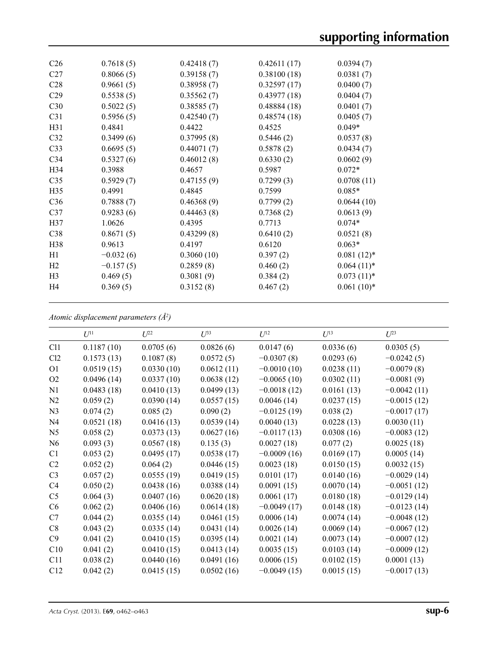| C <sub>26</sub> | 0.7618(5)   | 0.42418(7) | 0.42611(17) | 0.0394(7)     |
|-----------------|-------------|------------|-------------|---------------|
| C <sub>27</sub> | 0.8066(5)   | 0.39158(7) | 0.38100(18) | 0.0381(7)     |
| C <sub>28</sub> | 0.9661(5)   | 0.38958(7) | 0.32597(17) | 0.0400(7)     |
| C29             | 0.5538(5)   | 0.35562(7) | 0.43977(18) | 0.0404(7)     |
| C30             | 0.5022(5)   | 0.38585(7) | 0.48884(18) | 0.0401(7)     |
| C <sub>31</sub> | 0.5956(5)   | 0.42540(7) | 0.48574(18) | 0.0405(7)     |
| H31             | 0.4841      | 0.4422     | 0.4525      | $0.049*$      |
| C32             | 0.3499(6)   | 0.37995(8) | 0.5446(2)   | 0.0537(8)     |
| C <sub>33</sub> | 0.6695(5)   | 0.44071(7) | 0.5878(2)   | 0.0434(7)     |
| C <sub>34</sub> | 0.5327(6)   | 0.46012(8) | 0.6330(2)   | 0.0602(9)     |
| H <sub>34</sub> | 0.3988      | 0.4657     | 0.5987      | $0.072*$      |
| C <sub>35</sub> | 0.5929(7)   | 0.47155(9) | 0.7299(3)   | 0.0708(11)    |
| H <sub>35</sub> | 0.4991      | 0.4845     | 0.7599      | $0.085*$      |
| C <sub>36</sub> | 0.7888(7)   | 0.46368(9) | 0.7799(2)   | 0.0644(10)    |
| C <sub>37</sub> | 0.9283(6)   | 0.44463(8) | 0.7368(2)   | 0.0613(9)     |
| H37             | 1.0626      | 0.4395     | 0.7713      | $0.074*$      |
| C38             | 0.8671(5)   | 0.43299(8) | 0.6410(2)   | 0.0521(8)     |
| H <sub>38</sub> | 0.9613      | 0.4197     | 0.6120      | $0.063*$      |
| H1              | $-0.032(6)$ | 0.3060(10) | 0.397(2)    | $0.081(12)^*$ |
| H <sub>2</sub>  | $-0.157(5)$ | 0.2859(8)  | 0.460(2)    | $0.064(11)*$  |
| H <sub>3</sub>  | 0.469(5)    | 0.3081(9)  | 0.384(2)    | $0.073(11)*$  |
| H <sub>4</sub>  | 0.369(5)    | 0.3152(8)  | 0.467(2)    | $0.061(10)*$  |
|                 |             |            |             |               |

*Atomic displacement parameters (Å2 )*

|                | $U^{11}$   | $U^{22}$   | $U^{33}$   | $U^{12}$      | $U^{13}$   | $U^{23}$      |
|----------------|------------|------------|------------|---------------|------------|---------------|
| C11            | 0.1187(10) | 0.0705(6)  | 0.0826(6)  | 0.0147(6)     | 0.0336(6)  | 0.0305(5)     |
| Cl2            | 0.1573(13) | 0.1087(8)  | 0.0572(5)  | $-0.0307(8)$  | 0.0293(6)  | $-0.0242(5)$  |
| O <sub>1</sub> | 0.0519(15) | 0.0330(10) | 0.0612(11) | $-0.0010(10)$ | 0.0238(11) | $-0.0079(8)$  |
| O <sub>2</sub> | 0.0496(14) | 0.0337(10) | 0.0638(12) | $-0.0065(10)$ | 0.0302(11) | $-0.0081(9)$  |
| N1             | 0.0483(18) | 0.0410(13) | 0.0499(13) | $-0.0018(12)$ | 0.0161(13) | $-0.0042(11)$ |
| N2             | 0.059(2)   | 0.0390(14) | 0.0557(15) | 0.0046(14)    | 0.0237(15) | $-0.0015(12)$ |
| N <sub>3</sub> | 0.074(2)   | 0.085(2)   | 0.090(2)   | $-0.0125(19)$ | 0.038(2)   | $-0.0017(17)$ |
| N <sub>4</sub> | 0.0521(18) | 0.0416(13) | 0.0539(14) | 0.0040(13)    | 0.0228(13) | 0.0030(11)    |
| N <sub>5</sub> | 0.058(2)   | 0.0373(13) | 0.0627(16) | $-0.0117(13)$ | 0.0308(16) | $-0.0083(12)$ |
| N <sub>6</sub> | 0.093(3)   | 0.0567(18) | 0.135(3)   | 0.0027(18)    | 0.077(2)   | 0.0025(18)    |
| C1             | 0.053(2)   | 0.0495(17) | 0.0538(17) | $-0.0009(16)$ | 0.0169(17) | 0.0005(14)    |
| C <sub>2</sub> | 0.052(2)   | 0.064(2)   | 0.0446(15) | 0.0023(18)    | 0.0150(15) | 0.0032(15)    |
| C <sub>3</sub> | 0.057(2)   | 0.0555(19) | 0.0419(15) | 0.0101(17)    | 0.0140(16) | $-0.0029(14)$ |
| C4             | 0.050(2)   | 0.0438(16) | 0.0388(14) | 0.0091(15)    | 0.0070(14) | $-0.0051(12)$ |
| C <sub>5</sub> | 0.064(3)   | 0.0407(16) | 0.0620(18) | 0.0061(17)    | 0.0180(18) | $-0.0129(14)$ |
| C6             | 0.062(2)   | 0.0406(16) | 0.0614(18) | $-0.0049(17)$ | 0.0148(18) | $-0.0123(14)$ |
| C7             | 0.044(2)   | 0.0355(14) | 0.0461(15) | 0.0006(14)    | 0.0074(14) | $-0.0048(12)$ |
| C8             | 0.043(2)   | 0.0335(14) | 0.0431(14) | 0.0026(14)    | 0.0069(14) | $-0.0067(12)$ |
| C9             | 0.041(2)   | 0.0410(15) | 0.0395(14) | 0.0021(14)    | 0.0073(14) | $-0.0007(12)$ |
| C10            | 0.041(2)   | 0.0410(15) | 0.0413(14) | 0.0035(15)    | 0.0103(14) | $-0.0009(12)$ |
| C11            | 0.038(2)   | 0.0440(16) | 0.0491(16) | 0.0006(15)    | 0.0102(15) | 0.0001(13)    |
| C12            | 0.042(2)   | 0.0415(15) | 0.0502(16) | $-0.0049(15)$ | 0.0015(15) | $-0.0017(13)$ |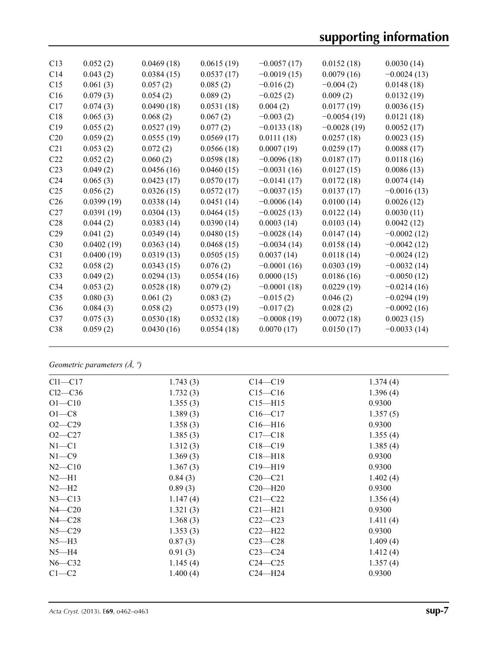| C13             | 0.052(2)   | 0.0469(18) | 0.0615(19) | $-0.0057(17)$ | 0.0152(18)    | 0.0030(14)    |
|-----------------|------------|------------|------------|---------------|---------------|---------------|
| C14             | 0.043(2)   | 0.0384(15) | 0.0537(17) | $-0.0019(15)$ | 0.0079(16)    | $-0.0024(13)$ |
| C15             | 0.061(3)   | 0.057(2)   | 0.085(2)   | $-0.016(2)$   | $-0.004(2)$   | 0.0148(18)    |
| C16             | 0.079(3)   | 0.054(2)   | 0.089(2)   | $-0.025(2)$   | 0.009(2)      | 0.0132(19)    |
| C17             | 0.074(3)   | 0.0490(18) | 0.0531(18) | 0.004(2)      | 0.0177(19)    | 0.0036(15)    |
| C18             | 0.065(3)   | 0.068(2)   | 0.067(2)   | $-0.003(2)$   | $-0.0054(19)$ | 0.0121(18)    |
| C19             | 0.055(2)   | 0.0527(19) | 0.077(2)   | $-0.0133(18)$ | $-0.0028(19)$ | 0.0052(17)    |
| C20             | 0.059(2)   | 0.0555(19) | 0.0569(17) | 0.0111(18)    | 0.0257(18)    | 0.0023(15)    |
| C21             | 0.053(2)   | 0.072(2)   | 0.0566(18) | 0.0007(19)    | 0.0259(17)    | 0.0088(17)    |
| C22             | 0.052(2)   | 0.060(2)   | 0.0598(18) | $-0.0096(18)$ | 0.0187(17)    | 0.0118(16)    |
| C <sub>23</sub> | 0.049(2)   | 0.0456(16) | 0.0460(15) | $-0.0031(16)$ | 0.0127(15)    | 0.0086(13)    |
| C <sub>24</sub> | 0.065(3)   | 0.0423(17) | 0.0570(17) | $-0.0141(17)$ | 0.0172(18)    | 0.0074(14)    |
| C <sub>25</sub> | 0.056(2)   | 0.0326(15) | 0.0572(17) | $-0.0037(15)$ | 0.0137(17)    | $-0.0016(13)$ |
| C <sub>26</sub> | 0.0399(19) | 0.0338(14) | 0.0451(14) | $-0.0006(14)$ | 0.0100(14)    | 0.0026(12)    |
| C <sub>27</sub> | 0.0391(19) | 0.0304(13) | 0.0464(15) | $-0.0025(13)$ | 0.0122(14)    | 0.0030(11)    |
| C28             | 0.044(2)   | 0.0383(14) | 0.0390(14) | 0.0003(14)    | 0.0103(14)    | 0.0042(12)    |
| C29             | 0.041(2)   | 0.0349(14) | 0.0480(15) | $-0.0028(14)$ | 0.0147(14)    | $-0.0002(12)$ |
| C30             | 0.0402(19) | 0.0363(14) | 0.0468(15) | $-0.0034(14)$ | 0.0158(14)    | $-0.0042(12)$ |
| C <sub>31</sub> | 0.0400(19) | 0.0319(13) | 0.0505(15) | 0.0037(14)    | 0.0118(14)    | $-0.0024(12)$ |
| C <sub>32</sub> | 0.058(2)   | 0.0343(15) | 0.076(2)   | $-0.0001(16)$ | 0.0303(19)    | $-0.0032(14)$ |
| C <sub>33</sub> | 0.049(2)   | 0.0294(13) | 0.0554(16) | 0.0000(15)    | 0.0186(16)    | $-0.0050(12)$ |
| C <sub>34</sub> | 0.053(2)   | 0.0528(18) | 0.079(2)   | $-0.0001(18)$ | 0.0229(19)    | $-0.0214(16)$ |
| C <sub>35</sub> | 0.080(3)   | 0.061(2)   | 0.083(2)   | $-0.015(2)$   | 0.046(2)      | $-0.0294(19)$ |
| C <sub>36</sub> | 0.084(3)   | 0.058(2)   | 0.0573(19) | $-0.017(2)$   | 0.028(2)      | $-0.0092(16)$ |
| C <sub>37</sub> | 0.075(3)   | 0.0530(18) | 0.0532(18) | $-0.0008(19)$ | 0.0072(18)    | 0.0023(15)    |
| C38             | 0.059(2)   | 0.0430(16) | 0.0554(18) | 0.0070(17)    | 0.0150(17)    | $-0.0033(14)$ |
|                 |            |            |            |               |               |               |

*Geometric parameters (Å, º)*

| $Cl1-C17$  | 1.743(3) | $C14 - C19$   | 1.374(4) |
|------------|----------|---------------|----------|
| $Cl2-C36$  | 1.732(3) | $C15 - C16$   | 1.396(4) |
| $O1 - C10$ | 1.355(3) | $C15 - H15$   | 0.9300   |
| $O1-C8$    | 1.389(3) | $C16 - C17$   | 1.357(5) |
| $O2 - C29$ | 1.358(3) | $C16$ —H $16$ | 0.9300   |
| $O2 - C27$ | 1.385(3) | $C17 - C18$   | 1.355(4) |
| $N1 - C1$  | 1.312(3) | $C18 - C19$   | 1.385(4) |
| $N1 - C9$  | 1.369(3) | $C18 - H18$   | 0.9300   |
| $N2 - C10$ | 1.367(3) | $C19 - H19$   | 0.9300   |
| $N2-H1$    | 0.84(3)  | $C20-C21$     | 1.402(4) |
| $N2-H2$    | 0.89(3)  | $C20-H20$     | 0.9300   |
| $N3 - C13$ | 1.147(4) | $C21 - C22$   | 1.356(4) |
| $N4 - C20$ | 1.321(3) | $C21 - H21$   | 0.9300   |
| $N4 - C28$ | 1.368(3) | $C22-C23$     | 1.411(4) |
| $N5 - C29$ | 1.353(3) | $C22-H22$     | 0.9300   |
| $N5-H3$    | 0.87(3)  | $C23-C28$     | 1.409(4) |
| $N5-H4$    | 0.91(3)  | $C23-C24$     | 1.412(4) |
| $N6 - C32$ | 1.145(4) | $C24 - C25$   | 1.357(4) |
| $C1-C2$    | 1.400(4) | $C24 - H24$   | 0.9300   |
|            |          |               |          |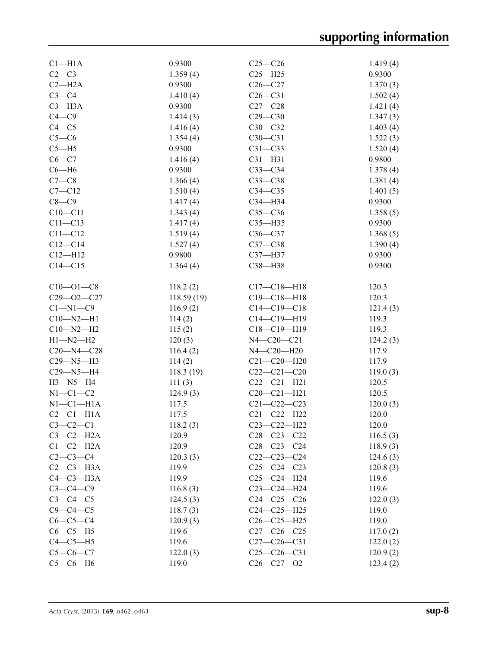| Cl <sub>–H1A</sub> | 0.9300     | $C25-C26$         | 1.419(4) |
|--------------------|------------|-------------------|----------|
| $C2-C3$            | 1.359(4)   | $C25 - H25$       | 0.9300   |
| $C2 - H2A$         | 0.9300     | $C26-C27$         | 1.370(3) |
| $C3-C4$            | 1.410(4)   | $C26-C31$         | 1.502(4) |
| $C3 - H3A$         | 0.9300     | $C27-C28$         | 1.421(4) |
| $C4 - C9$          | 1.414(3)   | $C29 - C30$       | 1.347(3) |
| $C4 - C5$          | 1.416(4)   | $C30-C32$         | 1.403(4) |
| $C5-C6$            | 1.354(4)   | $C30-C31$         | 1.522(3) |
| $C5 - H5$          | 0.9300     | $C31 - C33$       | 1.520(4) |
| $C6-C7$            | 1.416(4)   | $C31 - H31$       | 0.9800   |
| $C6 - H6$          | 0.9300     | $C33-C34$         | 1.378(4) |
| $C7-C8$            | 1.366(4)   | $C33-C38$         | 1.381(4) |
| $C7 - C12$         | 1.510(4)   | $C34 - C35$       | 1.401(5) |
| $C8-C9$            |            | C34-H34           | 0.9300   |
|                    | 1.417(4)   |                   |          |
| $C10 - C11$        | 1.343(4)   | $C35 - C36$       | 1.358(5) |
| $C11 - C13$        | 1.417(4)   | $C35 - H35$       | 0.9300   |
| $C11 - C12$        | 1.519(4)   | $C36-C37$         | 1.368(5) |
| $C12 - C14$        | 1.527(4)   | $C37-C38$         | 1.390(4) |
| $C12 - H12$        | 0.9800     | C37-H37           | 0.9300   |
| $C14 - C15$        | 1.364(4)   | C38-H38           | 0.9300   |
| $C10 - 01 - C8$    | 118.2(2)   | $C17 - C18 - H18$ | 120.3    |
| $C29 - 02 - C27$   | 118.59(19) | $C19 - C18 - H18$ | 120.3    |
| $C1 - N1 - C9$     | 116.9(2)   | $C14 - C19 - C18$ | 121.4(3) |
| $C10 - N2 - H1$    | 114(2)     | $C14 - C19 - H19$ | 119.3    |
| $C10 - N2 - H2$    | 115(2)     | $C18 - C19 - H19$ | 119.3    |
| $H1 - N2 - H2$     | 120(3)     | $N4 - C20 - C21$  | 124.2(3) |
| $C20 - N4 - C28$   | 116.4(2)   | N4-C20-H20        | 117.9    |
| $C29 - N5 - H3$    | 114(2)     | $C21 - C20 - H20$ | 117.9    |
| $C29 - N5 - H4$    | 118.3(19)  | $C22-C21-C20$     | 119.0(3) |
| $H3 - N5 - H4$     | 111(3)     | $C22-C21-H21$     | 120.5    |
| $N1-C1-C2$         | 124.9(3)   | $C20-C21-H21$     | 120.5    |
| $N1-C1-H1A$        | 117.5      | $C21 - C22 - C23$ | 120.0(3) |
| $C2-C1-H1A$        | 117.5      | $C21 - C22 - H22$ | 120.0    |
| $C3-C2-C1$         | 118.2(3)   | $C23 - C22 - H22$ | 120.0    |
| $C3-C2-H2A$        | 120.9      | $C28 - C23 - C22$ | 116.5(3) |
| $C1-C2-H2A$        | 120.9      | $C28-C23-C24$     | 118.9(3) |
| $C2-C3-C4$         | 120.3(3)   | $C22-C23-C24$     | 124.6(3) |
| $C2-C3-H3A$        | 119.9      | $C25-C24-C23$     | 120.8(3) |
| $C4-C3-H3A$        | 119.9      | $C25 - C24 - H24$ | 119.6    |
|                    |            |                   |          |
| $C3-C4-C9$         | 116.8(3)   | C23-C24-H24       | 119.6    |
| $C3-C4-C5$         | 124.5(3)   | $C24-C25-C26$     | 122.0(3) |
| $C9-C4-C5$         | 118.7(3)   | $C24 - C25 - H25$ | 119.0    |
| $C6-C5-C4$         | 120.9(3)   | $C26-C25-H25$     | 119.0    |
| $C6-C5-H5$         | 119.6      | $C27-C26-C25$     | 117.0(2) |
| $C4-C5-H5$         | 119.6      | $C27-C26-C31$     | 122.0(2) |
| $C5 - C6 - C7$     | 122.0(3)   | $C25-C26-C31$     | 120.9(2) |
| $C5-C6-H6$         | 119.0      | $C26 - C27 - O2$  | 123.4(2) |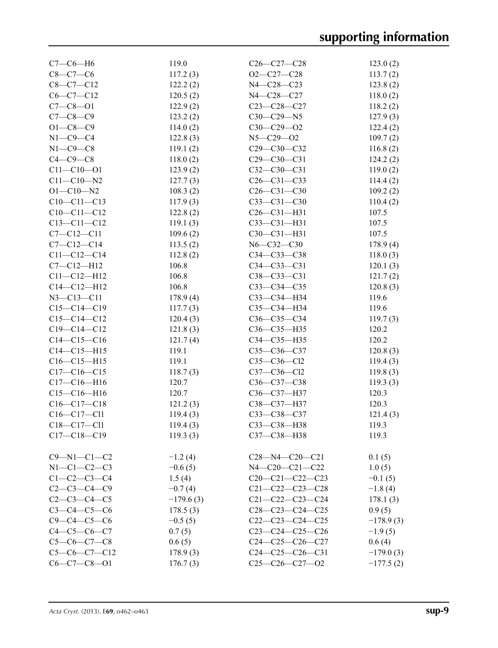| $C7-C6-H6$          | 119.0       | $C26 - C27 - C28$       | 123.0(2)    |
|---------------------|-------------|-------------------------|-------------|
| $C8 - C7 - C6$      | 117.2(3)    | $O2 - C27 - C28$        | 113.7(2)    |
| $C8-C7-C12$         | 122.2(2)    | N4-C28-C23              | 123.8(2)    |
| $C6-C7-C12$         | 120.5(2)    | N4-C28-C27              | 118.0(2)    |
| $C7 - C8 - O1$      | 122.9(2)    | $C23 - C28 - C27$       | 118.2(2)    |
| $C7 - C8 - C9$      | 123.2(2)    | $C30-C29-N5$            | 127.9(3)    |
| $O1 - C8 - C9$      | 114.0(2)    | $C30-C29-O2$            | 122.4(2)    |
| $N1-C9-C4$          | 122.8(3)    | $N5 - C29 - O2$         | 109.7(2)    |
| $N1-C9-C8$          | 119.1(2)    | C29-C30-C32             | 116.8(2)    |
| $C4-C9-C8$          | 118.0(2)    | $C29 - C30 - C31$       | 124.2(2)    |
| $C11 - C10 - O1$    | 123.9(2)    | $C32 - C30 - C31$       | 119.0(2)    |
| $C11 - C10 - N2$    | 127.7(3)    | $C26 - C31 - C33$       | 114.4(2)    |
| $O1 - C10 - N2$     | 108.3(2)    | $C26 - C31 - C30$       | 109.2(2)    |
| $C10-C11-C13$       | 117.9(3)    | $C33 - C31 - C30$       | 110.4(2)    |
| $C10-C11-C12$       | 122.8(2)    | $C26 - C31 - H31$       | 107.5       |
| $C13 - C11 - C12$   |             |                         |             |
|                     | 119.1(3)    | $C33 - C31 - H31$       | 107.5       |
| $C7 - C12 - C11$    | 109.6(2)    | $C30 - C31 - H31$       | 107.5       |
| $C7 - C12 - C14$    | 113.5(2)    | $N6 - C32 - C30$        | 178.9(4)    |
| $C11 - C12 - C14$   | 112.8(2)    | $C34 - C33 - C38$       | 118.0(3)    |
| $C7 - C12 - H12$    | 106.8       | $C34 - C33 - C31$       | 120.1(3)    |
| $C11 - C12 - H12$   | 106.8       | $C38 - C33 - C31$       | 121.7(2)    |
| $C14 - C12 - H12$   | 106.8       | $C33-C34-C35$           | 120.8(3)    |
| $N3 - C13 - C11$    | 178.9(4)    | C33-C34-H34             | 119.6       |
| $C15-C14-C19$       | 117.7(3)    | C35-C34-H34             | 119.6       |
| $C15-C14-C12$       | 120.4(3)    | $C36 - C35 - C34$       | 119.7(3)    |
| $C19 - C14 - C12$   | 121.8(3)    | C36-C35-H35             | 120.2       |
| $C14-C15-C16$       | 121.7(4)    | C34-C35-H35             | 120.2       |
| $C14 - C15 - H15$   | 119.1       | C35-C36-C37             | 120.8(3)    |
| $C16 - C15 - H15$   | 119.1       | $C35 - C36 - C12$       | 119.4(3)    |
| $C17-C16-C15$       | 118.7(3)    | $C37 - C36 - C12$       | 119.8(3)    |
| $C17-C16-H16$       | 120.7       | C36-C37-C38             | 119.3(3)    |
| $C15-C16-H16$       | 120.7       | C36-C37-H37             | 120.3       |
| $C16-C17-C18$       | 121.2(3)    | C38-C37-H37             | 120.3       |
| $C16 - C17 - C11$   | 119.4(3)    | C33-C38-C37             | 121.4(3)    |
| $C18 - C17 - C11$   | 119.4(3)    | C33-C38-H38             | 119.3       |
| $C17-C18-C19$       | 119.3(3)    | C37-C38-H38             | 119.3       |
|                     |             |                         |             |
| $C9 - N1 - C1 - C2$ | $-1.2(4)$   | $C28 - N4 - C20 - C21$  | 0.1(5)      |
| $N1 - C1 - C2 - C3$ | $-0.6(5)$   | N4-C20-C21-C22          | 1.0(5)      |
| $C1 - C2 - C3 - C4$ | 1.5(4)      | $C20-C21-C22-C23$       | $-0.1(5)$   |
| $C2-C3-C4-C9$       | $-0.7(4)$   | $C21 - C22 - C23 - C28$ | $-1.8(4)$   |
| $C2 - C3 - C4 - C5$ | $-179.6(3)$ | $C21 - C22 - C23 - C24$ | 178.1(3)    |
| $C3 - C4 - C5 - C6$ | 178.5(3)    | $C28-C23-C24-C25$       | 0.9(5)      |
| $C9 - C4 - C5 - C6$ | $-0.5(5)$   | $C22-C23-C24-C25$       | $-178.9(3)$ |
| $C4 - C5 - C6 - C7$ |             | $C23-C24-C25-C26$       |             |
|                     | 0.7(5)      |                         | $-1.9(5)$   |
| $C5-C6-C7-C8$       | 0.6(5)      | $C24-C25-C26-C27$       | 0.6(4)      |
| $C5-C6-C7-C12$      | 178.9(3)    | $C24-C25-C26-C31$       | $-179.0(3)$ |
| $C6-C7-C8-O1$       | 176.7(3)    | $C25-C26-C27-02$        | $-177.5(2)$ |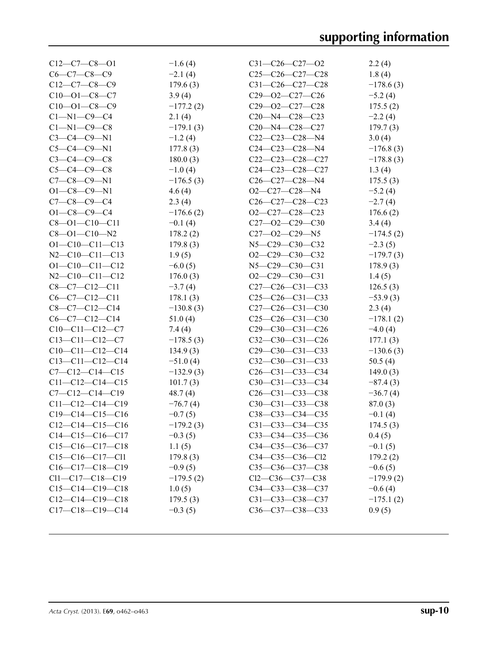| $C12-C7-C8-O1$          | $-1.6(4)$   | $C31 - C26 - C27 - O2$  | 2.2(4)      |
|-------------------------|-------------|-------------------------|-------------|
| $C6 - C7 - C8 - C9$     | $-2.1(4)$   | $C25-C26-C27-C28$       | 1.8(4)      |
| $C12-C7-C8-C9$          | 179.6(3)    | $C31-C26-C27-C28$       | $-178.6(3)$ |
| $C10 - 01 - C8 - C7$    | 3.9(4)      | $C29 - 02 - C27 - C26$  | $-5.2(4)$   |
| $C10 - 01 - C8 - C9$    | $-177.2(2)$ | $C29 - 02 - C27 - C28$  | 175.5(2)    |
| $C1 - N1 - C9 - C4$     | 2.1(4)      | $C20 - N4 - C28 - C23$  | $-2.2(4)$   |
| $C1 - N1 - C9 - C8$     | $-179.1(3)$ | $C20 - N4 - C28 - C27$  | 179.7(3)    |
| $C3-C4-C9-N1$           | $-1.2(4)$   | $C22-C23-C28-N4$        | 3.0(4)      |
| $C5 - C4 - C9 - N1$     | 177.8(3)    | $C24 - C23 - C28 - N4$  | $-176.8(3)$ |
| $C3 - C4 - C9 - C8$     | 180.0(3)    | $C22-C23-C28-C27$       | $-178.8(3)$ |
| $C5 - C4 - C9 - C8$     | $-1.0(4)$   | $C24-C23-C28-C27$       | 1.3(4)      |
| $C7 - C8 - C9 - N1$     | $-176.5(3)$ | $C26-C27-C28-N4$        | 175.5(3)    |
| $O1 - C8 - C9 - N1$     | 4.6(4)      | O2-C27-C28-N4           | $-5.2(4)$   |
| $C7 - C8 - C9 - C4$     | 2.3(4)      | $C26-C27-C28-C23$       | $-2.7(4)$   |
| $O1 - C8 - C9 - C4$     | $-176.6(2)$ | O2-C27-C28-C23          | 176.6(2)    |
| $C8 - O1 - C10 - C11$   | $-0.1(4)$   | $C27 - 02 - C29 - C30$  | 3.4(4)      |
| $C8 - O1 - C10 - N2$    | 178.2(2)    | $C27 - 02 - C29 - N5$   | $-174.5(2)$ |
| $O1 - C10 - C11 - C13$  | 179.8(3)    | N5-C29-C30-C32          | $-2.3(5)$   |
| $N2-C10-C11-C13$        | 1.9(5)      | $O2-C29-C30-C32$        | $-179.7(3)$ |
| $O1 - C10 - C11 - C12$  | $-6.0(5)$   | $N5 - C29 - C30 - C31$  | 178.9(3)    |
| $N2-C10-C11-C12$        | 176.0(3)    | $O2-C29-C30-C31$        | 1.4(5)      |
| $C8-C7-C12-C11$         | $-3.7(4)$   | $C27-C26-C31-C33$       | 126.5(3)    |
| $C6-C7-C12-C11$         | 178.1(3)    | $C25-C26-C31-C33$       | $-53.9(3)$  |
| $C8 - C7 - C12 - C14$   | $-130.8(3)$ | $C27-C26-C31-C30$       | 2.3(4)      |
| $C6-C7-C12-C14$         | 51.0(4)     | $C25-C26-C31-C30$       | $-178.1(2)$ |
| $C10-C11-C12-C7$        | 7.4(4)      | $C29-C30-C31-C26$       | $-4.0(4)$   |
| $C13-C11-C12-C7$        | $-178.5(3)$ | $C32-C30-C31-C26$       | 177.1(3)    |
| $C10-C11-C12-C14$       | 134.9(3)    | $C29-C30-C31-C33$       | $-130.6(3)$ |
| $C13-C11-C12-C14$       | $-51.0(4)$  | $C32-C30-C31-C33$       | 50.5(4)     |
| $C7-C12-C14-C15$        | $-132.9(3)$ | $C26-C31-C33-C34$       | 149.0(3)    |
| $C11-C12-C14-C15$       | 101.7(3)    | $C30-C31-C33-C34$       | $-87.4(3)$  |
| $C7 - C12 - C14 - C19$  | 48.7(4)     | $C26-C31-C33-C38$       | $-36.7(4)$  |
| $C11 - C12 - C14 - C19$ | $-76.7(4)$  | $C30-C31-C33-C38$       | 87.0(3)     |
| $C19-C14-C15-C16$       | $-0.7(5)$   | C38-C33-C34-C35         | $-0.1(4)$   |
| $C12-C14-C15-C16$       | $-179.2(3)$ | C31-C33-C34-C35         | 174.5(3)    |
| $C14-C15-C16-C17$       | $-0.3(5)$   | C33-C34-C35-C36         | 0.4(5)      |
| $C15-C16-C17-C18$       | 1.1(5)      | $C34 - C35 - C36 - C37$ | $-0.1(5)$   |
| $C15-C16-C17-C11$       | 179.8(3)    | $C34 - C35 - C36 - C12$ | 179.2(2)    |
| $C16-C17-C18-C19$       | $-0.9(5)$   | $C35-C36-C37-C38$       | $-0.6(5)$   |
| $Cl1-C17-C18-C19$       | $-179.5(2)$ | $Cl2-C36-C37-C38$       | $-179.9(2)$ |
| $C15-C14-C19-C18$       | 1.0(5)      | C34-C33-C38-C37         | $-0.6(4)$   |
| $C12-C14-C19-C18$       | 179.5(3)    | C31-C33-C38-C37         | $-175.1(2)$ |
| $C17-C18-C19-C14$       | $-0.3(5)$   | C36-C37-C38-C33         | 0.9(5)      |